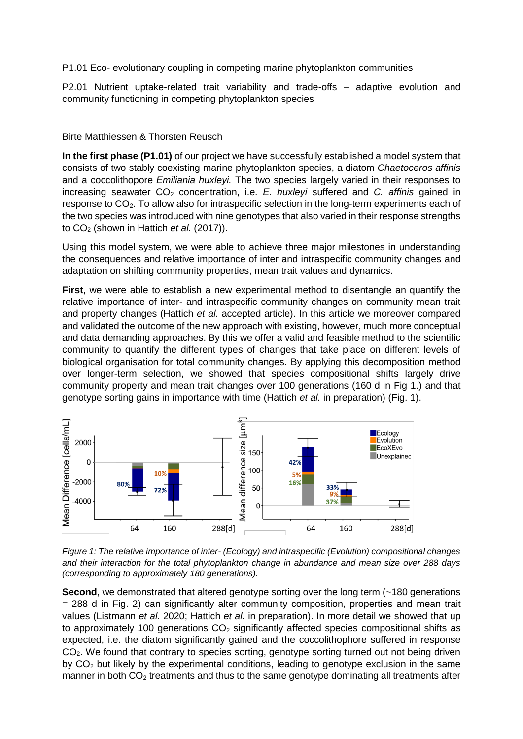P1.01 Eco- evolutionary coupling in competing marine phytoplankton communities

P2.01 Nutrient uptake-related trait variability and trade-offs – adaptive evolution and community functioning in competing phytoplankton species

## Birte Matthiessen & Thorsten Reusch

**In the first phase (P1.01)** of our project we have successfully established a model system that consists of two stably coexisting marine phytoplankton species, a diatom *Chaetoceros affinis* and a coccolithopore *Emiliania huxleyi.* The two species largely varied in their responses to increasing seawater CO<sub>2</sub> concentration, i.e. *E. huxleyi* suffered and *C. affinis* gained in response to  $CO<sub>2</sub>$ . To allow also for intraspecific selection in the long-term experiments each of the two species was introduced with nine genotypes that also varied in their response strengths to CO<sub>2</sub> (shown in Hattich *et al.* (2017)).

Using this model system, we were able to achieve three major milestones in understanding the consequences and relative importance of inter and intraspecific community changes and adaptation on shifting community properties, mean trait values and dynamics.

**First**, we were able to establish a new experimental method to disentangle an quantify the relative importance of inter- and intraspecific community changes on community mean trait and property changes (Hattich *et al.* accepted article). In this article we moreover compared and validated the outcome of the new approach with existing, however, much more conceptual and data demanding approaches. By this we offer a valid and feasible method to the scientific community to quantify the different types of changes that take place on different levels of biological organisation for total community changes. By applying this decomposition method over longer-term selection, we showed that species compositional shifts largely drive community property and mean trait changes over 100 generations (160 d in Fig 1.) and that genotype sorting gains in importance with time (Hattich *et al.* in preparation) (Fig. 1).



*Figure 1: The relative importance of inter- (Ecology) and intraspecific (Evolution) compositional changes and their interaction for the total phytoplankton change in abundance and mean size over 288 days (corresponding to approximately 180 generations).*

**Second**, we demonstrated that altered genotype sorting over the long term (~180 generations = 288 d in Fig. 2) can significantly alter community composition, properties and mean trait values (Listmann *et al.* 2020; Hattich *et al.* in preparation). In more detail we showed that up to approximately 100 generations  $CO<sub>2</sub>$  significantly affected species compositional shifts as expected, i.e. the diatom significantly gained and the coccolithophore suffered in response CO<sub>2</sub>. We found that contrary to species sorting, genotype sorting turned out not being driven by  $CO<sub>2</sub>$  but likely by the experimental conditions, leading to genotype exclusion in the same manner in both  $CO<sub>2</sub>$  treatments and thus to the same genotype dominating all treatments after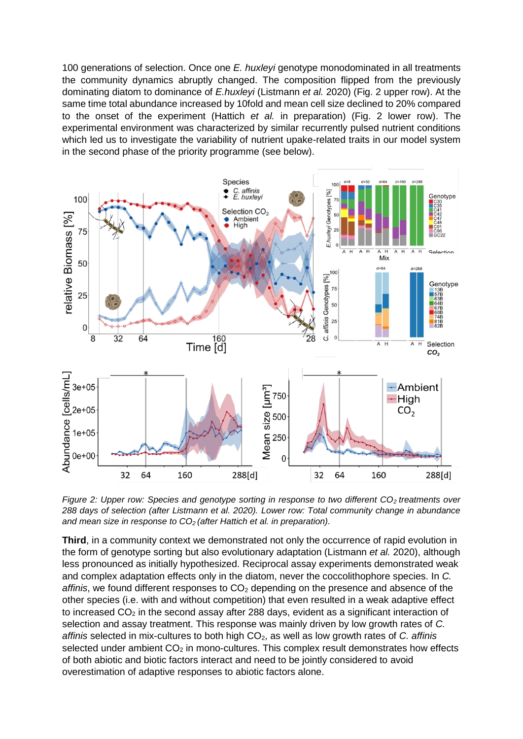100 generations of selection. Once one *E. huxleyi* genotype monodominated in all treatments the community dynamics abruptly changed. The composition flipped from the previously dominating diatom to dominance of *E.huxleyi* (Listmann *et al.* 2020) (Fig. 2 upper row). At the same time total abundance increased by 10fold and mean cell size declined to 20% compared to the onset of the experiment (Hattich *et al.* in preparation) (Fig. 2 lower row). The experimental environment was characterized by similar recurrently pulsed nutrient conditions which led us to investigate the variability of nutrient upake-related traits in our model system in the second phase of the priority programme (see below).



*Figure 2: Upper row: Species and genotype sorting in response to two different CO<sub>2</sub> treatments over 288 days of selection (after Listmann et al. 2020). Lower row: Total community change in abundance and mean size in response to CO<sup>2</sup> (after Hattich et al. in preparation).*

**Third**, in a community context we demonstrated not only the occurrence of rapid evolution in the form of genotype sorting but also evolutionary adaptation (Listmann *et al.* 2020), although less pronounced as initially hypothesized. Reciprocal assay experiments demonstrated weak and complex adaptation effects only in the diatom, never the coccolithophore species. In *C. affinis*, we found different responses to CO<sub>2</sub> depending on the presence and absence of the other species (i.e. with and without competition) that even resulted in a weak adaptive effect to increased  $CO<sub>2</sub>$  in the second assay after 288 days, evident as a significant interaction of selection and assay treatment. This response was mainly driven by low growth rates of *C. affinis* selected in mix-cultures to both high CO2, as well as low growth rates of *C. affinis* selected under ambient  $CO<sub>2</sub>$  in mono-cultures. This complex result demonstrates how effects of both abiotic and biotic factors interact and need to be jointly considered to avoid overestimation of adaptive responses to abiotic factors alone.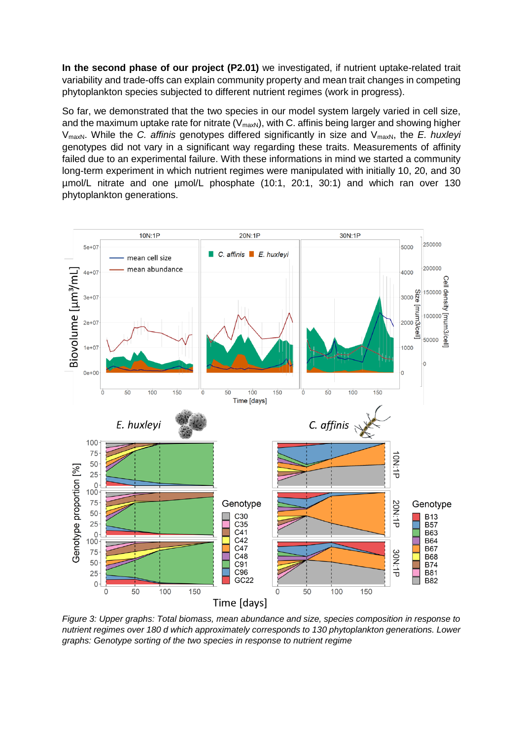**In the second phase of our project (P2.01)** we investigated, if nutrient uptake-related trait variability and trade-offs can explain community property and mean trait changes in competing phytoplankton species subjected to different nutrient regimes (work in progress).

So far, we demonstrated that the two species in our model system largely varied in cell size, and the maximum uptake rate for nitrate ( $V_{\text{maxN}}$ ), with C. affinis being larger and showing higher V<sub>maxN</sub>. While the *C. affinis* genotypes differed significantly in size and V<sub>maxN</sub>, the *E. huxleyi* genotypes did not vary in a significant way regarding these traits. Measurements of affinity failed due to an experimental failure. With these informations in mind we started a community long-term experiment in which nutrient regimes were manipulated with initially 10, 20, and 30 µmol/L nitrate and one µmol/L phosphate (10:1, 20:1, 30:1) and which ran over 130 phytoplankton generations.



*Figure 3: Upper graphs: Total biomass, mean abundance and size, species composition in response to nutrient regimes over 180 d which approximately corresponds to 130 phytoplankton generations. Lower graphs: Genotype sorting of the two species in response to nutrient regime*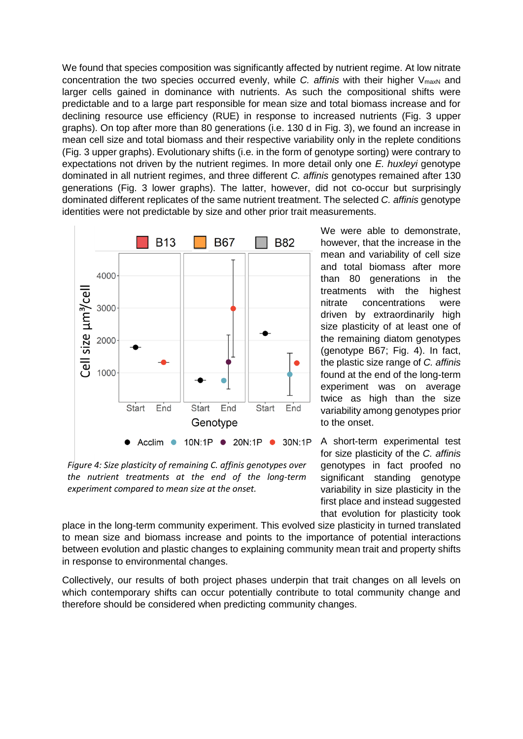We found that species composition was significantly affected by nutrient regime. At low nitrate concentration the two species occurred evenly, while *C. affinis* with their higher V<sub>maxN</sub> and larger cells gained in dominance with nutrients. As such the compositional shifts were predictable and to a large part responsible for mean size and total biomass increase and for declining resource use efficiency (RUE) in response to increased nutrients (Fig. 3 upper graphs). On top after more than 80 generations (i.e. 130 d in Fig. 3), we found an increase in mean cell size and total biomass and their respective variability only in the replete conditions (Fig. 3 upper graphs). Evolutionary shifts (i.e. in the form of genotype sorting) were contrary to expectations not driven by the nutrient regimes. In more detail only one *E. huxleyi* genotype dominated in all nutrient regimes, and three different *C. affinis* genotypes remained after 130 generations (Fig. 3 lower graphs). The latter, however, did not co-occur but surprisingly dominated different replicates of the same nutrient treatment. The selected *C. affinis* genotype identities were not predictable by size and other prior trait measurements.

![](_page_3_Figure_1.jpeg)

*Figure 4: Size plasticity of remaining C. affinis genotypes over the nutrient treatments at the end of the long-term experiment compared to mean size at the onset.*

We were able to demonstrate, however, that the increase in the mean and variability of cell size and total biomass after more than 80 generations in the treatments with the highest nitrate concentrations were driven by extraordinarily high size plasticity of at least one of the remaining diatom genotypes (genotype B67; Fig. 4). In fact, the plastic size range of *C. affinis* found at the end of the long-term experiment was on average twice as high than the size variability among genotypes prior to the onset.

A short-term experimental test for size plasticity of the *C. affinis* genotypes in fact proofed no significant standing genotype variability in size plasticity in the first place and instead suggested that evolution for plasticity took

place in the long-term community experiment. This evolved size plasticity in turned translated to mean size and biomass increase and points to the importance of potential interactions between evolution and plastic changes to explaining community mean trait and property shifts in response to environmental changes.

Collectively, our results of both project phases underpin that trait changes on all levels on which contemporary shifts can occur potentially contribute to total community change and therefore should be considered when predicting community changes.